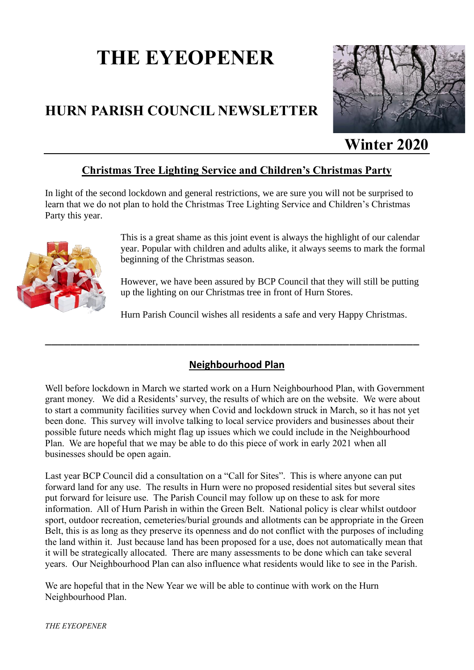# **THE EYEOPENER**

# **HURN PARISH COUNCIL NEWSLETTER**



**Winter 2020**

#### **Christmas Tree Lighting Service and Children's Christmas Party**

In light of the second lockdown and general restrictions, we are sure you will not be surprised to learn that we do not plan to hold the Christmas Tree Lighting Service and Children's Christmas Party this year.



This is a great shame as this joint event is always the highlight of our calendar year. Popular with children and adults alike, it always seems to mark the formal beginning of the Christmas season.

However, we have been assured by BCP Council that they will still be putting up the lighting on our Christmas tree in front of Hurn Stores.

Hurn Parish Council wishes all residents a safe and very Happy Christmas.

#### **Neighbourhood Plan**

\_\_\_\_\_\_[\\_\\_\\_\\_\\_](https://creativecommons.org/licenses/by-nc/3.0/)\_\_\_\_\_\_\_\_\_\_\_\_\_\_\_\_\_\_\_\_\_\_\_\_\_\_\_\_\_\_\_\_\_\_\_\_\_\_\_\_\_\_\_\_\_\_\_\_

Well before lockdown in March we started work on a Hurn Neighbourhood Plan, with Government grant money. We did a Residents' survey, the results of which are on the website. We were about to start a community facilities survey when Covid and lockdown struck in March, so it has not yet been done. This survey will involve talking to local service providers and businesses about their possible future needs which might flag up issues which we could include in the Neighbourhood Plan. We are hopeful that we may be able to do this piece of work in early 2021 when all businesses should be open again.

Last year BCP Council did a consultation on a "Call for Sites". This is where anyone can put forward land for any use. The results in Hurn were no proposed residential sites but several sites put forward for leisure use. The Parish Council may follow up on these to ask for more information. All of Hurn Parish in within the Green Belt. National policy is clear whilst outdoor sport, outdoor recreation, cemeteries/burial grounds and allotments can be appropriate in the Green Belt, this is as long as they preserve its openness and do not conflict with the purposes of including the land within it. Just because land has been proposed for a use, does not automatically mean that it will be strategically allocated. There are many assessments to be done which can take several years. Our Neighbourhood Plan can also influence what residents would like to see in the Parish.

We are hopeful that in the New Year we will be able to continue with work on the Hurn Neighbourhood Plan.